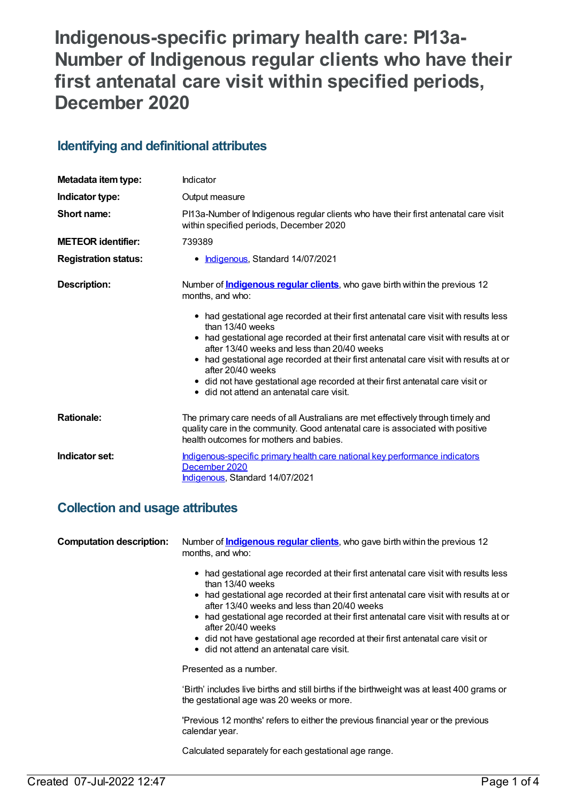# **Indigenous-specific primary health care: PI13a-Number of Indigenous regular clients who have their first antenatal care visit within specified periods, December 2020**

# **Identifying and definitional attributes**

| Metadata item type:         | Indicator                                                                                                                                                                                                                                                                                                                                                                                                                                                                                     |
|-----------------------------|-----------------------------------------------------------------------------------------------------------------------------------------------------------------------------------------------------------------------------------------------------------------------------------------------------------------------------------------------------------------------------------------------------------------------------------------------------------------------------------------------|
| Indicator type:             | Output measure                                                                                                                                                                                                                                                                                                                                                                                                                                                                                |
| Short name:                 | PI13a-Number of Indigenous regular clients who have their first antenatal care visit<br>within specified periods, December 2020                                                                                                                                                                                                                                                                                                                                                               |
| <b>METEOR identifier:</b>   | 739389                                                                                                                                                                                                                                                                                                                                                                                                                                                                                        |
| <b>Registration status:</b> | • Indigenous, Standard 14/07/2021                                                                                                                                                                                                                                                                                                                                                                                                                                                             |
| Description:                | Number of <b>Indigenous regular clients</b> , who gave birth within the previous 12<br>months, and who:                                                                                                                                                                                                                                                                                                                                                                                       |
|                             | • had gestational age recorded at their first antenatal care visit with results less<br>than 13/40 weeks<br>• had gestational age recorded at their first antenatal care visit with results at or<br>after 13/40 weeks and less than 20/40 weeks<br>• had gestational age recorded at their first antenatal care visit with results at or<br>after 20/40 weeks<br>• did not have gestational age recorded at their first antenatal care visit or<br>• did not attend an antenatal care visit. |
| <b>Rationale:</b>           | The primary care needs of all Australians are met effectively through timely and<br>quality care in the community. Good antenatal care is associated with positive<br>health outcomes for mothers and babies.                                                                                                                                                                                                                                                                                 |
| Indicator set:              | Indigenous-specific primary health care national key performance indicators<br>December 2020<br>Indigenous, Standard 14/07/2021                                                                                                                                                                                                                                                                                                                                                               |

## **Collection and usage attributes**

| <b>Computation description:</b> | Number of <b>Indigenous regular clients</b> , who gave birth within the previous 12<br>months, and who:<br>had gestational age recorded at their first antenatal care visit with results less |
|---------------------------------|-----------------------------------------------------------------------------------------------------------------------------------------------------------------------------------------------|
|                                 | than 13/40 weeks<br>• had gestational age recorded at their first antenatal care visit with results at or                                                                                     |
|                                 | after 13/40 weeks and less than 20/40 weeks                                                                                                                                                   |
|                                 | • had gestational age recorded at their first antenatal care visit with results at or<br>after 20/40 weeks                                                                                    |
|                                 | • did not have gestational age recorded at their first antenatal care visit or<br>$\bullet$ did not attend an antenatal care visit.                                                           |
|                                 | Presented as a number.                                                                                                                                                                        |
|                                 | 'Birth' includes live births and still births if the birthweight was at least 400 grams or<br>the gestational age was 20 weeks or more.                                                       |
|                                 | 'Previous 12 months' refers to either the previous financial year or the previous<br>calendar year.                                                                                           |
|                                 | Calculated separately for each gestational age range.                                                                                                                                         |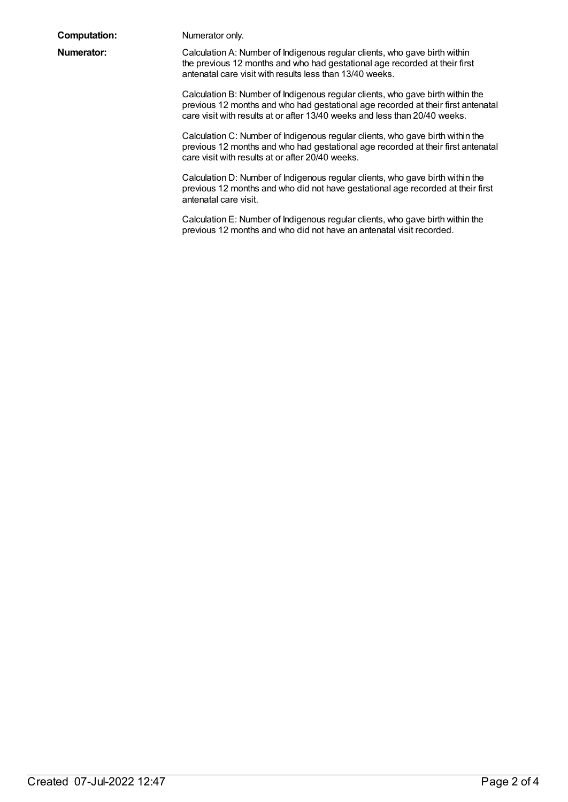| <b>Computation:</b> |
|---------------------|
|---------------------|

Numerator only.

**Numerator:** Calculation A: Number of Indigenous regular clients, who gave birth within the previous 12 months and who had gestational age recorded at their first antenatal care visit with results less than 13/40 weeks.

> Calculation B: Number of Indigenous regular clients, who gave birth within the previous 12 months and who had gestational age recorded at their first antenatal care visit with results at or after 13/40 weeks and less than 20/40 weeks.

> Calculation C: Number of Indigenous regular clients, who gave birth within the previous 12 months and who had gestational age recorded at their first antenatal care visit with results at or after 20/40 weeks.

Calculation D: Number of Indigenous regular clients, who gave birth within the previous 12 months and who did not have gestational age recorded at their first antenatal care visit.

Calculation E: Number of Indigenous regular clients, who gave birth within the previous 12 months and who did not have an antenatal visit recorded.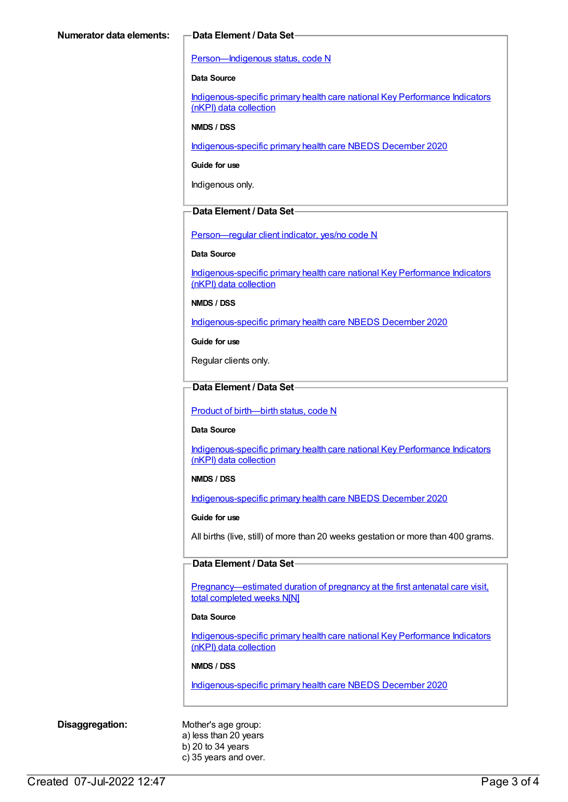#### [Person—Indigenous](https://meteor.aihw.gov.au/content/602543) status, code N

#### **Data Source**

[Indigenous-specific](https://meteor.aihw.gov.au/content/737914) primary health care national Key Performance Indicators (nKPI) data collection

#### **NMDS / DSS**

[Indigenous-specific](https://meteor.aihw.gov.au/content/738532) primary health care NBEDS December 2020

**Guide for use**

Indigenous only.

#### **Data Element / Data Set**

[Person—regular](https://meteor.aihw.gov.au/content/686291) client indicator, yes/no code N

#### **Data Source**

[Indigenous-specific](https://meteor.aihw.gov.au/content/737914) primary health care national Key Performance Indicators (nKPI) data collection

**NMDS / DSS**

[Indigenous-specific](https://meteor.aihw.gov.au/content/738532) primary health care NBEDS December 2020

**Guide for use**

Regular clients only.

### **Data Element / Data Set**

Product of [birth—birth](https://meteor.aihw.gov.au/content/732895) status, code N

#### **Data Source**

[Indigenous-specific](https://meteor.aihw.gov.au/content/737914) primary health care national Key Performance Indicators (nKPI) data collection

#### **NMDS / DSS**

[Indigenous-specific](https://meteor.aihw.gov.au/content/738532) primary health care NBEDS December 2020

#### **Guide for use**

All births (live, still) of more than 20 weeks gestation or more than 400 grams.

#### **Data Element / Data Set**

[Pregnancy—estimated](https://meteor.aihw.gov.au/content/732908) duration of pregnancy at the first antenatal care visit, total completed weeks N[N]

#### **Data Source**

[Indigenous-specific](https://meteor.aihw.gov.au/content/737914) primary health care national Key Performance Indicators (nKPI) data collection

#### **NMDS / DSS**

[Indigenous-specific](https://meteor.aihw.gov.au/content/738532) primary health care NBEDS December 2020

**Disaggregation:** Mother's age group: a) less than 20 years b) 20 to 34 years c) 35 years and over.